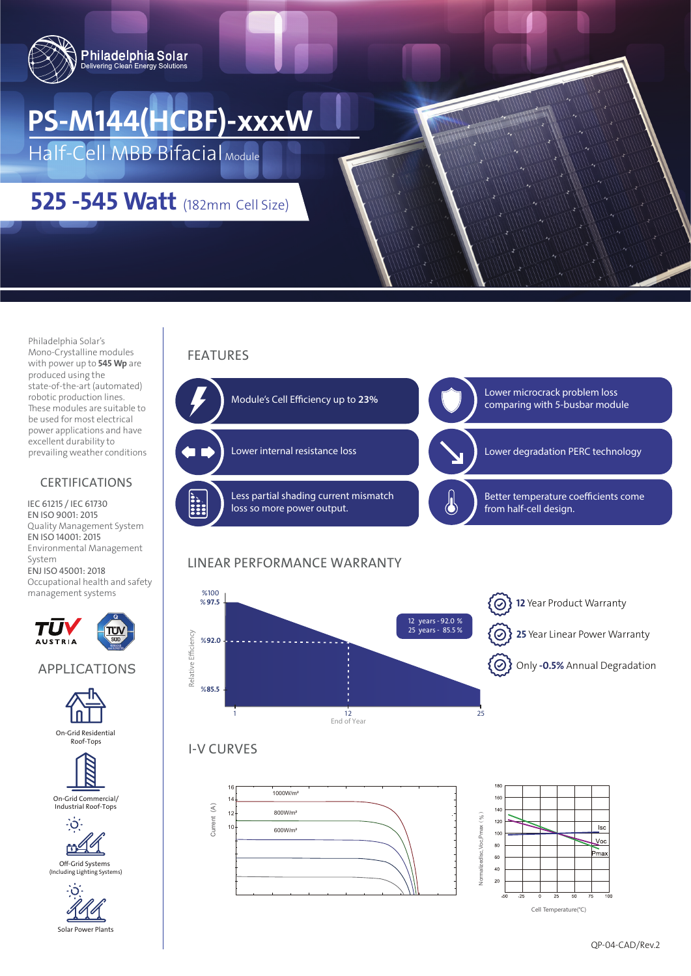

# **PS-M144(HCBF)-xxxW**

Half-Cell MBB Bifacial Module

# **525 -545 Watt** (182mm Cell Size)

Philadelphia Solar's Mono-Crystalline modules with power up to **545 Wp** are produced using the state-of-the-art (automated) robotic production lines. These modules are suitable to be used for most electrical power applications and have excellent durability to prevailing weather conditions

#### CERTIFICATIONS

IEC 61215 / IEC 61730 EN ISO 9001: 2015 Quality Management System EN ISO 14001: 2015 Environmental Management System ENJ ISO 45001: 2018 Occupational health and safety management systems



APPLICATIONS





On-Grid Commercial/ Industrial Roof-Tops



(Including Lighting Systems)



Module's Cell Efficiency up to 23%

FEATURES



## LINEAR PERFORMANCE WARRANTY



### I-V CURVES





Cell Temperature(℃)